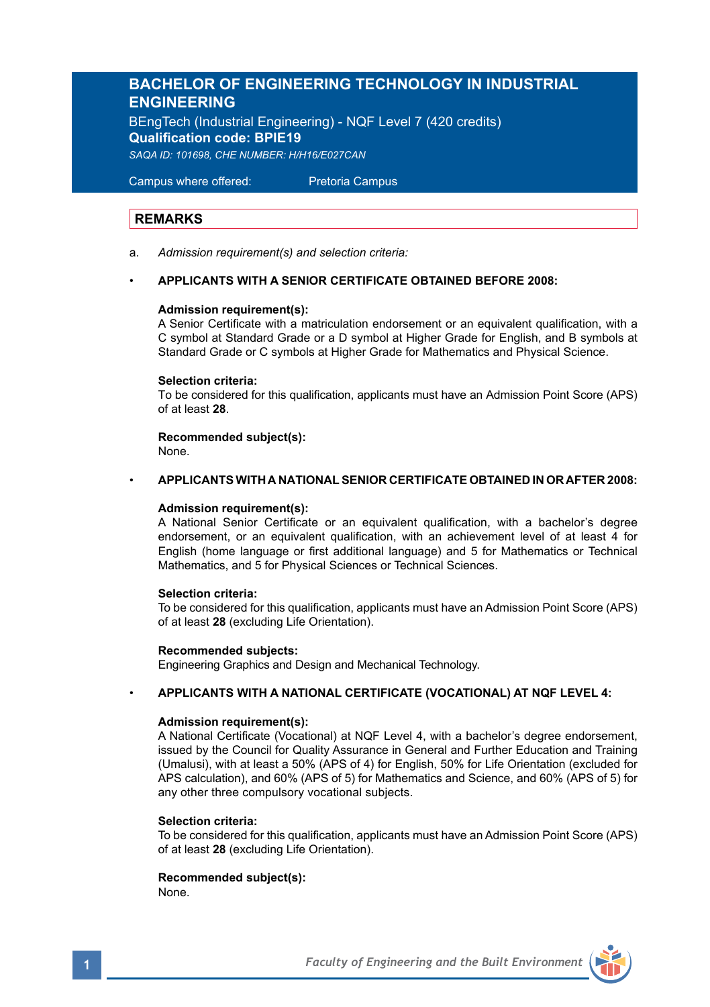# **BACHELOR OF ENGINEERING TECHNOLOGY IN INDUSTRIAL ENGINEERING**

BEngTech (Industrial Engineering) - NQF Level 7 (420 credits) **Qualification code: BPIE19** *SAQA ID: 101698, CHE NUMBER: H/H16/E027CAN* 

Campus where offered: Pretoria Campus

# **REMARKS**

a. *Admission requirement(s) and selection criteria:*

#### • **APPLICANTS WITH A SENIOR CERTIFICATE OBTAINED BEFORE 2008:**

#### **Admission requirement(s):**

A Senior Certificate with a matriculation endorsement or an equivalent qualification, with a C symbol at Standard Grade or a D symbol at Higher Grade for English, and B symbols at Standard Grade or C symbols at Higher Grade for Mathematics and Physical Science.

#### **Selection criteria:**

To be considered for this qualification, applicants must have an Admission Point Score (APS) of at least **28**.

# **Recommended subject(s):**

None.

#### • **APPLICANTS WITH A NATIONAL SENIOR CERTIFICATE OBTAINED IN OR AFTER 2008:**

#### **Admission requirement(s):**

A National Senior Certificate or an equivalent qualification, with a bachelor's degree endorsement, or an equivalent qualification, with an achievement level of at least 4 for English (home language or first additional language) and 5 for Mathematics or Technical Mathematics, and 5 for Physical Sciences or Technical Sciences.

#### **Selection criteria:**

To be considered for this qualification, applicants must have an Admission Point Score (APS) of at least **28** (excluding Life Orientation).

#### **Recommended subjects:**

Engineering Graphics and Design and Mechanical Technology.

### • **APPLICANTS WITH A NATIONAL CERTIFICATE (VOCATIONAL) AT NQF LEVEL 4:**

#### **Admission requirement(s):**

A National Certificate (Vocational) at NQF Level 4, with a bachelor's degree endorsement, issued by the Council for Quality Assurance in General and Further Education and Training (Umalusi), with at least a 50% (APS of 4) for English, 50% for Life Orientation (excluded for APS calculation), and 60% (APS of 5) for Mathematics and Science, and 60% (APS of 5) for any other three compulsory vocational subjects.

#### **Selection criteria:**

To be considered for this qualification, applicants must have an Admission Point Score (APS) of at least **28** (excluding Life Orientation).

# **Recommended subject(s):**

None.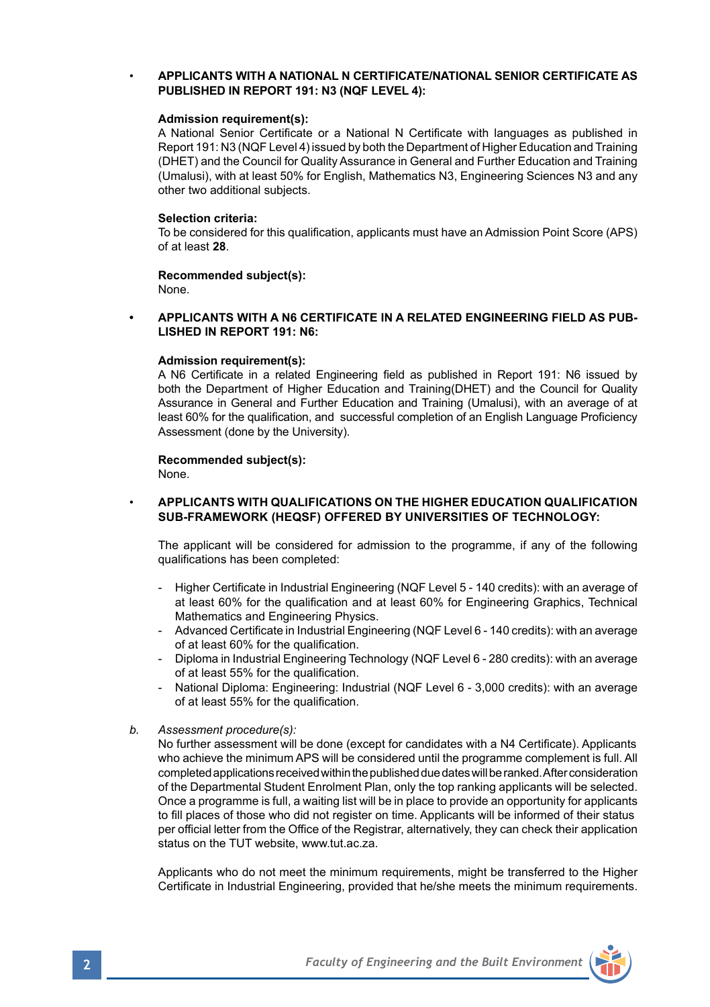# • **APPLICANTS WITH A NATIONAL N CERTIFICATE/NATIONAL SENIOR CERTIFICATE AS PUBLISHED IN REPORT 191: N3 (NQF LEVEL 4):**

#### **Admission requirement(s):**

A National Senior Certificate or a National N Certificate with languages as published in Report 191: N3 (NQF Level 4) issued by both the Department of Higher Education and Training (DHET) and the Council for Quality Assurance in General and Further Education and Training (Umalusi), with at least 50% for English, Mathematics N3, Engineering Sciences N3 and any other two additional subjects.

#### **Selection criteria:**

To be considered for this qualification, applicants must have an Admission Point Score (APS) of at least **28**.

# **Recommended subject(s):**

None.

### **• APPLICANTS WITH A N6 CERTIFICATE IN A RELATED ENGINEERING FIELD AS PUB-LISHED IN REPORT 191: N6:**

#### **Admission requirement(s):**

A N6 Certificate in a related Engineering field as published in Report 191: N6 issued by both the Department of Higher Education and Training(DHET) and the Council for Quality Assurance in General and Further Education and Training (Umalusi), with an average of at least 60% for the qualification, and successful completion of an English Language Proficiency Assessment (done by the University).

### **Recommended subject(s):**

None.

### • **APPLICANTS WITH QUALIFICATIONS ON THE HIGHER EDUCATION QUALIFICATION SUB-FRAMEWORK (HEQSF) OFFERED BY UNIVERSITIES OF TECHNOLOGY:**

The applicant will be considered for admission to the programme, if any of the following qualifications has been completed:

- Higher Certificate in Industrial Engineering (NQF Level 5 140 credits): with an average of at least 60% for the qualification and at least 60% for Engineering Graphics, Technical Mathematics and Engineering Physics.
- Advanced Certificate in Industrial Engineering (NQF Level 6 140 credits): with an average of at least 60% for the qualification.
- Diploma in Industrial Engineering Technology (NQF Level 6 280 credits): with an average of at least 55% for the qualification.
- National Diploma: Engineering: Industrial (NQF Level 6 3,000 credits): with an average of at least 55% for the qualification.
- *b. Assessment procedure(s):*

No further assessment will be done (except for candidates with a N4 Certificate). Applicants who achieve the minimum APS will be considered until the programme complement is full. All completed applications received within the published due dates will be ranked. After consideration of the Departmental Student Enrolment Plan, only the top ranking applicants will be selected. Once a programme is full, a waiting list will be in place to provide an opportunity for applicants to fill places of those who did not register on time. Applicants will be informed of their status per official letter from the Office of the Registrar, alternatively, they can check their application status on the TUT website, www.tut.ac.za.

Applicants who do not meet the minimum requirements, might be transferred to the Higher Certificate in Industrial Engineering, provided that he/she meets the minimum requirements.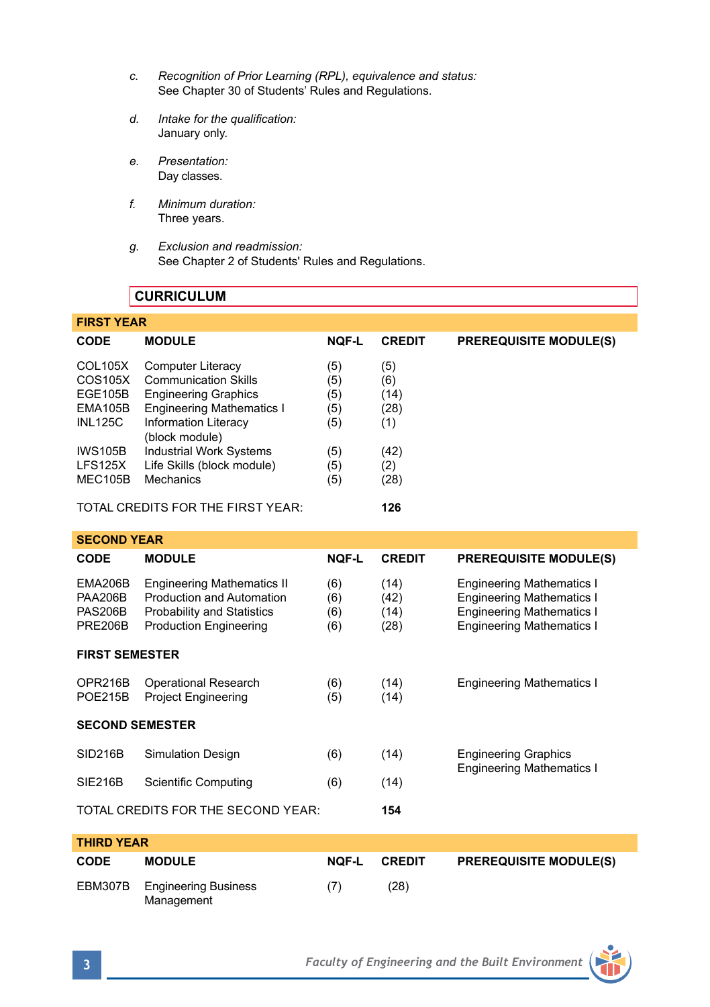- *c. Recognition of Prior Learning (RPL), equivalence and status:* See Chapter 30 of Students' Rules and Regulations.
- *d. Intake for the qualification:* January only.
- *e. Presentation:* Day classes.
- *f. Minimum duration:* Three years.
- *g. Exclusion and readmission:* See Chapter 2 of Students' Rules and Regulations.

# **CURRICULUM**

| <b>FIRST YEAR</b> |                                               |              |               |                               |  |  |  |
|-------------------|-----------------------------------------------|--------------|---------------|-------------------------------|--|--|--|
| <b>CODE</b>       | <b>MODULE</b>                                 | <b>NOF-L</b> | <b>CREDIT</b> | <b>PREREQUISITE MODULE(S)</b> |  |  |  |
| COL105X           | <b>Computer Literacy</b>                      | (5)          | (5)           |                               |  |  |  |
| COS105X           | <b>Communication Skills</b>                   | (5)          | (6)           |                               |  |  |  |
| EGE105B           | <b>Engineering Graphics</b>                   | (5)          | (14)          |                               |  |  |  |
| EMA105B           | <b>Engineering Mathematics I</b>              | (5)          | (28)          |                               |  |  |  |
| <b>INL125C</b>    | <b>Information Literacy</b><br>(block module) | (5)          | (1)           |                               |  |  |  |
| <b>IWS105B</b>    | <b>Industrial Work Systems</b>                | (5)          | (42)          |                               |  |  |  |
| LFS125X           | Life Skills (block module)                    | (5)          | (2)           |                               |  |  |  |
| MEC105B           | Mechanics                                     | (5)          | (28)          |                               |  |  |  |
|                   |                                               |              |               |                               |  |  |  |

TOTAL CREDITS FOR THE FIRST YEAR: **126**

| <b>SECOND YEAR</b>                                                   |                                                                                                                                      |                          |                              |                                                                                                                                              |  |  |  |
|----------------------------------------------------------------------|--------------------------------------------------------------------------------------------------------------------------------------|--------------------------|------------------------------|----------------------------------------------------------------------------------------------------------------------------------------------|--|--|--|
| <b>CODE</b>                                                          | <b>MODULE</b>                                                                                                                        | <b>NQF-L</b>             | <b>CREDIT</b>                | <b>PREREQUISITE MODULE(S)</b>                                                                                                                |  |  |  |
| <b>EMA206B</b><br><b>PAA206B</b><br><b>PAS206B</b><br><b>PRE206B</b> | <b>Engineering Mathematics II</b><br>Production and Automation<br><b>Probability and Statistics</b><br><b>Production Engineering</b> | (6)<br>(6)<br>(6)<br>(6) | (14)<br>(42)<br>(14)<br>(28) | <b>Engineering Mathematics I</b><br><b>Engineering Mathematics I</b><br><b>Engineering Mathematics I</b><br><b>Engineering Mathematics I</b> |  |  |  |
| <b>FIRST SEMESTER</b>                                                |                                                                                                                                      |                          |                              |                                                                                                                                              |  |  |  |
| OPR216B<br><b>POE215B</b>                                            | <b>Operational Research</b><br><b>Project Engineering</b>                                                                            | (6)<br>(5)               | (14)<br>(14)                 | <b>Engineering Mathematics I</b>                                                                                                             |  |  |  |
| <b>SECOND SEMESTER</b>                                               |                                                                                                                                      |                          |                              |                                                                                                                                              |  |  |  |
| <b>SID216B</b>                                                       | <b>Simulation Design</b>                                                                                                             | (6)                      | (14)                         | <b>Engineering Graphics</b><br><b>Engineering Mathematics I</b>                                                                              |  |  |  |
| <b>SIE216B</b>                                                       | Scientific Computing                                                                                                                 | (6)                      | (14)                         |                                                                                                                                              |  |  |  |
|                                                                      | TOTAL CREDITS FOR THE SECOND YEAR:                                                                                                   |                          | 154                          |                                                                                                                                              |  |  |  |
| <b>THIRD YEAR</b>                                                    |                                                                                                                                      |                          |                              |                                                                                                                                              |  |  |  |
| <b>CODE</b>                                                          | <b>MODULE</b>                                                                                                                        | <b>NOF-L</b>             | <b>CREDIT</b>                | <b>PREREQUISITE MODULE(S)</b>                                                                                                                |  |  |  |
| EBM307B                                                              | <b>Engineering Business</b><br>Management                                                                                            | (7)                      | (28)                         |                                                                                                                                              |  |  |  |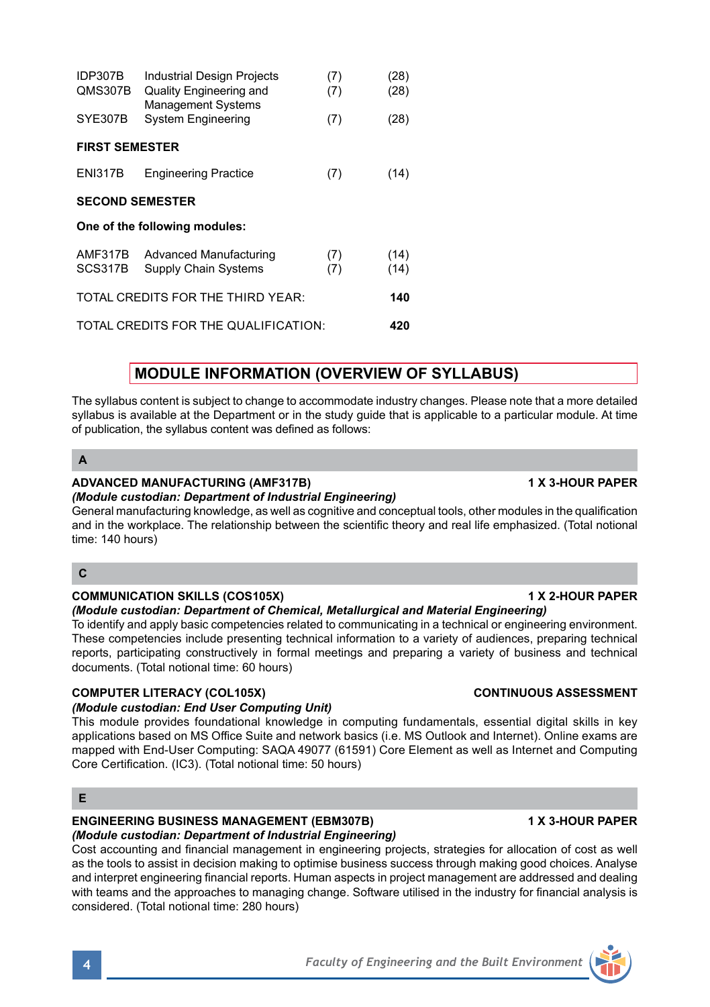| <b>ENGINEERING BUSINESS MANAGEMENT (EBM307B)</b>                                                            | <b>1 X 3-HOUR PAPER</b> |
|-------------------------------------------------------------------------------------------------------------|-------------------------|
| (Module custodian: Department of Industrial Engineering)                                                    |                         |
| Cost accounting and financial management in engineering projects, strategies for allocation of cost as well |                         |
| as the tools to assist in decision making to optimise business success through making good choices. Analyse |                         |
| and interpret engineering financial reports. Human aspects in project management are addressed and dealing  |                         |

*(Module custodian: Departm*<br>Cost accounting and financial Cost accounting and financial management in engineering projects, strategies for allocation of cost as well ough making good choices. Analyse and interpret engineering financial reports. Human aspects in project management are addressed and dealing with teams and the approaches to managing change. Software utilised in the industry for financial analysis is considered. (Total notional time: 280 hours)

# **MODULE INFORMATION (OVERVIEW OF SYLLABUS)**

The syllabus content is subject to change to accommodate industry changes. Please note that a more detailed syllabus is available at the Department or in the study guide that is applicable to a particular module. At time of publication, the syllabus content was defined as follows:

# **C**

# **COMMUNICATION SKILLS (COS105X) 1 X 2-HOUR PAPER**

*(Module custodian: Department of Chemical, Metallurgical and Material Engineering)*

To identify and apply basic competencies related to communicating in a technical or engineering environment. These competencies include presenting technical information to a variety of audiences, preparing technical reports, participating constructively in formal meetings and preparing a variety of business and technical documents. (Total notional time: 60 hours)

# **COMPUTER LITERACY (COL105X) CONTINUOUS ASSESSMENT**

# *(Module custodian: End User Computing Unit)*

This module provides foundational knowledge in computing fundamentals, essential digital skills in key applications based on MS Office Suite and network basics (i.e. MS Outlook and Internet). Online exams are mapped with End-User Computing: SAQA 49077 (61591) Core Element as well as Internet and Computing Core Certification. (IC3). (Total notional time: 50 hours)

# **A**

# **ADVANCED MANUFACTURING (AMF317B) 1 X 3-HOUR PAPER**

*(Module custodian: Department of Industrial Engineering)*

IDP307B Industrial Design Projects (7) (28) QMS307B Quality Engineering and (7) (28)

SYE307B System Engineering (7) (28)

ENI317B Engineering Practice (7) (14)

AMF317B Advanced Manufacturing (7) (14)<br>SCS317B Supply Chain Systems (7) (14)

TOTAL CREDITS FOR THE THIRD YEAR: **140** TOTAL CREDITS FOR THE QUALIFICATION: **420**

Management Systems

Supply Chain Systems

**FIRST SEMESTER**

**SECOND SEMESTER One of the following modules:**

General manufacturing knowledge, as well as cognitive and conceptual tools, other modules in the qualification and in the workplace. The relationship between the scientific theory and real life emphasized. (Total notional time: 140 hours)



**E**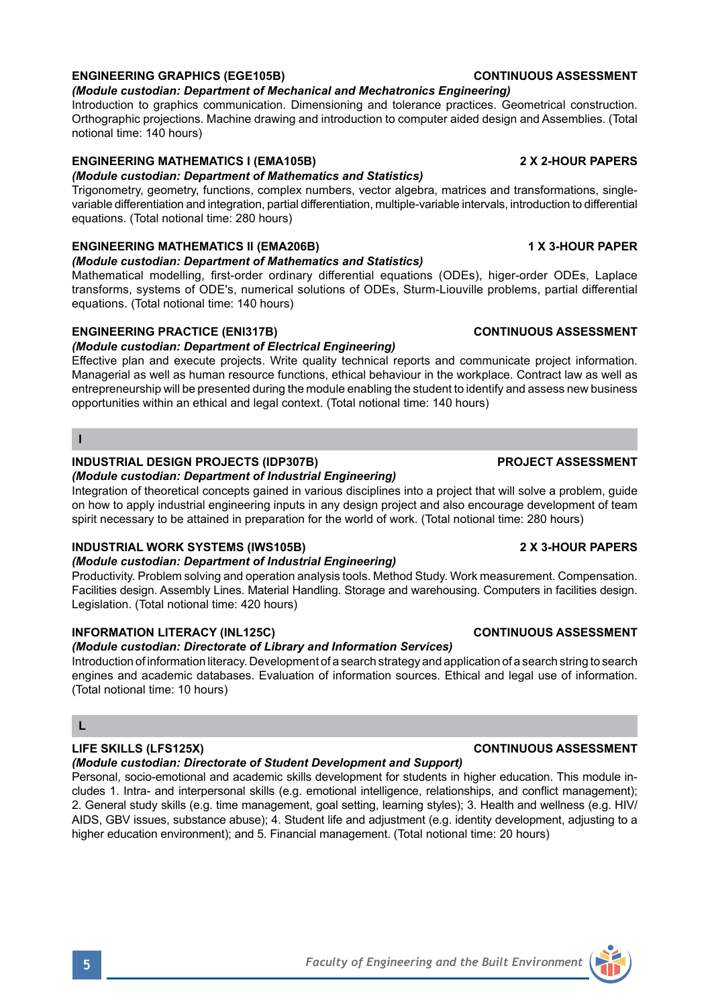# **ENGINEERING GRAPHICS (EGE105B) CONTINUOUS ASSESSMENT**

# *(Module custodian: Department of Mechanical and Mechatronics Engineering)*

Introduction to graphics communication. Dimensioning and tolerance practices. Geometrical construction. Orthographic projections. Machine drawing and introduction to computer aided design and Assemblies. (Total notional time: 140 hours)

# **ENGINEERING MATHEMATICS I (EMA105B) 2 X 2-HOUR PAPERS**

# *(Module custodian: Department of Mathematics and Statistics)*

Trigonometry, geometry, functions, complex numbers, vector algebra, matrices and transformations, singlevariable differentiation and integration, partial differentiation, multiple-variable intervals, introduction to differential equations. (Total notional time: 280 hours)

# **ENGINEERING MATHEMATICS II (EMA206B) 1 X 3-HOUR PAPER**

# *(Module custodian: Department of Mathematics and Statistics)*

Mathematical modelling, first-order ordinary differential equations (ODEs), higer-order ODEs, Laplace transforms, systems of ODE's, numerical solutions of ODEs, Sturm-Liouville problems, partial differential equations. (Total notional time: 140 hours)

# **ENGINEERING PRACTICE (ENI317B) CONTINUOUS ASSESSMENT**

# *(Module custodian: Department of Electrical Engineering)*

Effective plan and execute projects. Write quality technical reports and communicate project information. Managerial as well as human resource functions, ethical behaviour in the workplace. Contract law as well as entrepreneurship will be presented during the module enabling the student to identify and assess new business opportunities within an ethical and legal context. (Total notional time: 140 hours)

### **I**

# **INDUSTRIAL DESIGN PROJECTS (IDP307B) PROJECT ASSESSMENT**

*(Module custodian: Department of Industrial Engineering)* Integration of theoretical concepts gained in various disciplines into a project that will solve a problem, guide on how to apply industrial engineering inputs in any design project and also encourage development of team spirit necessary to be attained in preparation for the world of work. (Total notional time: 280 hours)

# **INDUSTRIAL WORK SYSTEMS (IWS105B) 2 X 3-HOUR PAPERS**

# *(Module custodian: Department of Industrial Engineering)*

Productivity. Problem solving and operation analysis tools. Method Study. Work measurement. Compensation. Facilities design. Assembly Lines. Material Handling. Storage and warehousing. Computers in facilities design. Legislation. (Total notional time: 420 hours)

# **INFORMATION LITERACY (INL125C) CONTINUOUS ASSESSMENT**

# *(Module custodian: Directorate of Library and Information Services)*

Introduction of information literacy. Development of a search strategy and application of a search string to search engines and academic databases. Evaluation of information sources. Ethical and legal use of information. (Total notional time: 10 hours)

# **L**

# *(Module custodian: Directorate of Student Development and Support)*

Personal, socio-emotional and academic skills development for students in higher education. This module includes 1. Intra- and interpersonal skills (e.g. emotional intelligence, relationships, and conflict management); 2. General study skills (e.g. time management, goal setting, learning styles); 3. Health and wellness (e.g. HIV/ AIDS, GBV issues, substance abuse); 4. Student life and adjustment (e.g. identity development, adjusting to a higher education environment); and 5. Financial management. (Total notional time: 20 hours)

# **LIFE SKILLS (LFS125X) CONTINUOUS ASSESSMENT**

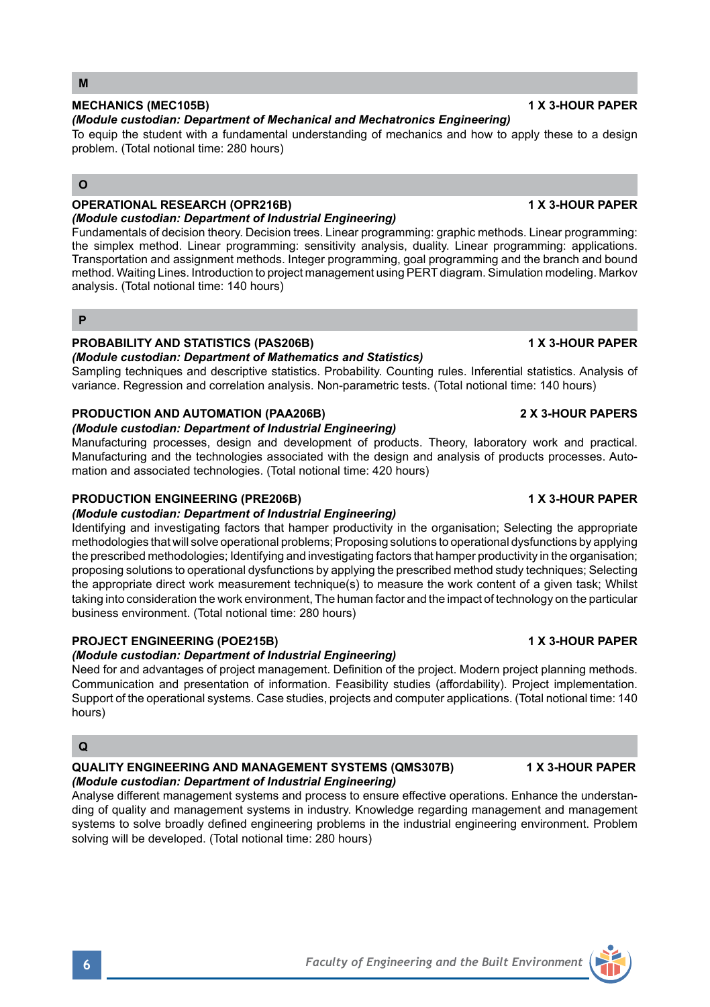# **MECHANICS (MEC105B) 1 X 3-HOUR PAPER**

### *(Module custodian: Department of Mechanical and Mechatronics Engineering)*

To equip the student with a fundamental understanding of mechanics and how to apply these to a design problem. (Total notional time: 280 hours)

# **O**

# **OPERATIONAL RESEARCH (OPR216B) 1 X 3-HOUR PAPER**

*(Module custodian: Department of Industrial Engineering)* Fundamentals of decision theory. Decision trees. Linear programming: graphic methods. Linear programming:

the simplex method. Linear programming: sensitivity analysis, duality. Linear programming: applications. Transportation and assignment methods. Integer programming, goal programming and the branch and bound method. Waiting Lines. Introduction to project management using PERT diagram. Simulation modeling. Markov analysis. (Total notional time: 140 hours)

# **P**

# **PROBABILITY AND STATISTICS (PAS206B) 1 X 3-HOUR PAPER**

*(Module custodian: Department of Mathematics and Statistics)*

Sampling techniques and descriptive statistics. Probability. Counting rules. Inferential statistics. Analysis of variance. Regression and correlation analysis. Non-parametric tests. (Total notional time: 140 hours)

# **PRODUCTION AND AUTOMATION (PAA206B) 2 X 3-HOUR PAPERS**

### *(Module custodian: Department of Industrial Engineering)*

Manufacturing processes, design and development of products. Theory, laboratory work and practical. Manufacturing and the technologies associated with the design and analysis of products processes. Automation and associated technologies. (Total notional time: 420 hours)

# **PRODUCTION ENGINEERING (PRE206B) 1 X 3-HOUR PAPER**

### *(Module custodian: Department of Industrial Engineering)*

Identifying and investigating factors that hamper productivity in the organisation; Selecting the appropriate methodologies that will solve operational problems; Proposing solutions to operational dysfunctions by applying the prescribed methodologies; Identifying and investigating factors that hamper productivity in the organisation; proposing solutions to operational dysfunctions by applying the prescribed method study techniques; Selecting the appropriate direct work measurement technique(s) to measure the work content of a given task; Whilst taking into consideration the work environment, The human factor and the impact of technology on the particular business environment. (Total notional time: 280 hours)

# **PROJECT ENGINEERING (POE215B) 1 X 3-HOUR PAPER**

# *(Module custodian: Department of Industrial Engineering)*

Need for and advantages of project management. Definition of the project. Modern project planning methods. Communication and presentation of information. Feasibility studies (affordability). Project implementation. Support of the operational systems. Case studies, projects and computer applications. (Total notional time: 140 hours)

# **Q**

### **QUALITY ENGINEERING AND MANAGEMENT SYSTEMS (QMS307B) 1 X 3-HOUR PAPER** *(Module custodian: Department of Industrial Engineering)*

Analyse different management systems and process to ensure effective operations. Enhance the understanding of quality and management systems in industry. Knowledge regarding management and management systems to solve broadly defined engineering problems in the industrial engineering environment. Problem solving will be developed. (Total notional time: 280 hours)